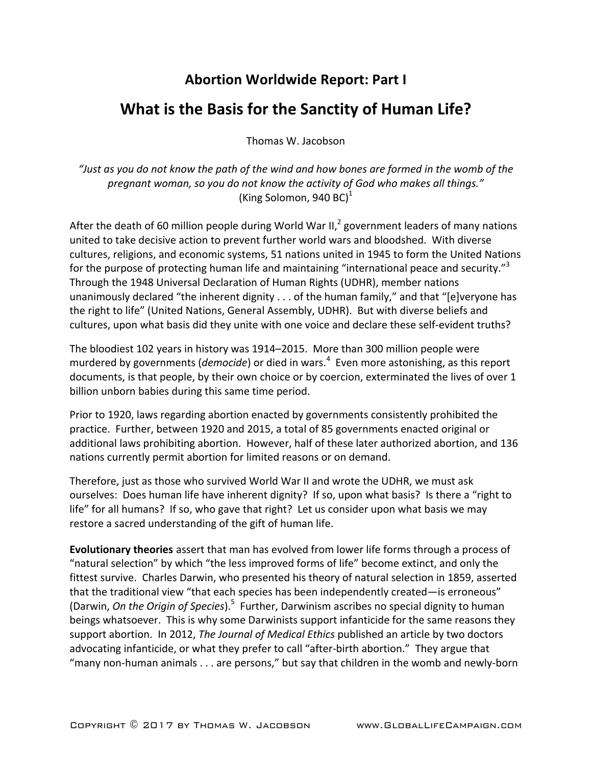## **Abortion Worldwide Report: Part I**

## **What is the Basis for the Sanctity of Human Life?**

Thomas W. Jacobson

"Just as you do not know the path of the wind and how bones are formed in the womb of the pregnant woman, so you do not know the activity of God who makes all things." (King Solomon, 940 BC) $<sup>1</sup>$ </sup>

After the death of 60 million people during World War II,<sup>2</sup> government leaders of many nations united to take decisive action to prevent further world wars and bloodshed. With diverse cultures, religions, and economic systems, 51 nations united in 1945 to form the United Nations for the purpose of protecting human life and maintaining "international peace and security."<sup>3</sup> Through the 1948 Universal Declaration of Human Rights (UDHR), member nations unanimously declared "the inherent dignity  $\dots$  of the human family," and that "[e]veryone has the right to life" (United Nations, General Assembly, UDHR). But with diverse beliefs and cultures, upon what basis did they unite with one voice and declare these self-evident truths?

The bloodiest 102 years in history was 1914–2015. More than 300 million people were murdered by governments (*democide*) or died in wars.<sup>4</sup> Even more astonishing, as this report documents, is that people, by their own choice or by coercion, exterminated the lives of over 1 billion unborn babies during this same time period.

Prior to 1920, laws regarding abortion enacted by governments consistently prohibited the practice. Further, between 1920 and 2015, a total of 85 governments enacted original or additional laws prohibiting abortion. However, half of these later authorized abortion, and 136 nations currently permit abortion for limited reasons or on demand.

Therefore, just as those who survived World War II and wrote the UDHR, we must ask ourselves: Does human life have inherent dignity? If so, upon what basis? Is there a "right to life" for all humans? If so, who gave that right? Let us consider upon what basis we may restore a sacred understanding of the gift of human life.

**Evolutionary theories** assert that man has evolved from lower life forms through a process of "natural selection" by which "the less improved forms of life" become extinct, and only the fittest survive. Charles Darwin, who presented his theory of natural selection in 1859, asserted that the traditional view "that each species has been independently created—is erroneous" (Darwin, *On the Origin of Species*).<sup>5</sup> Further, Darwinism ascribes no special dignity to human beings whatsoever. This is why some Darwinists support infanticide for the same reasons they support abortion. In 2012, *The Journal of Medical Ethics* published an article by two doctors advocating infanticide, or what they prefer to call "after-birth abortion." They argue that "many non-human animals . . . are persons," but say that children in the womb and newly-born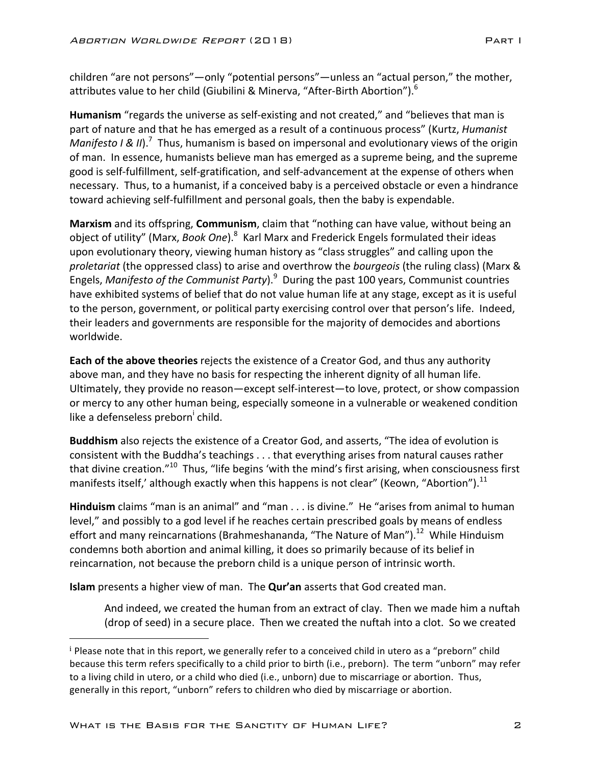children "are not persons"—only "potential persons"—unless an "actual person," the mother, attributes value to her child (Giubilini & Minerva, "After-Birth Abortion").  $^6$ 

**Humanism** "regards the universe as self-existing and not created," and "believes that man is part of nature and that he has emerged as a result of a continuous process" (Kurtz, *Humanist Manifesto I & II*).<sup>7</sup> Thus, humanism is based on impersonal and evolutionary views of the origin of man. In essence, humanists believe man has emerged as a supreme being, and the supreme good is self-fulfillment, self-gratification, and self-advancement at the expense of others when necessary. Thus, to a humanist, if a conceived baby is a perceived obstacle or even a hindrance toward achieving self-fulfillment and personal goals, then the baby is expendable.

**Marxism** and its offspring, **Communism**, claim that "nothing can have value, without being an object of utility" (Marx, *Book One*).<sup>8</sup> Karl Marx and Frederick Engels formulated their ideas upon evolutionary theory, viewing human history as "class struggles" and calling upon the proletariat (the oppressed class) to arise and overthrow the *bourgeois* (the ruling class) (Marx & Engels, *Manifesto of the Communist Party*).<sup>9</sup> During the past 100 years, Communist countries have exhibited systems of belief that do not value human life at any stage, except as it is useful to the person, government, or political party exercising control over that person's life. Indeed, their leaders and governments are responsible for the majority of democides and abortions worldwide. 

**Each of the above theories** rejects the existence of a Creator God, and thus any authority above man, and they have no basis for respecting the inherent dignity of all human life. Ultimately, they provide no reason—except self-interest—to love, protect, or show compassion or mercy to any other human being, especially someone in a vulnerable or weakened condition like a defenseless preborn<sup>i</sup> child.

**Buddhism** also rejects the existence of a Creator God, and asserts, "The idea of evolution is consistent with the Buddha's teachings . . . that everything arises from natural causes rather that divine creation."<sup>10</sup> Thus, "life begins 'with the mind's first arising, when consciousness first manifests itself,' although exactly when this happens is not clear" (Keown, "Abortion").<sup>11</sup>

**Hinduism** claims "man is an animal" and "man . . . is divine." He "arises from animal to human level," and possibly to a god level if he reaches certain prescribed goals by means of endless effort and many reincarnations (Brahmeshananda, "The Nature of Man").<sup>12</sup> While Hinduism condemns both abortion and animal killing, it does so primarily because of its belief in reincarnation, not because the preborn child is a unique person of intrinsic worth.

**Islam** presents a higher view of man. The **Qur'an** asserts that God created man.

And indeed, we created the human from an extract of clay. Then we made him a nuftah (drop of seed) in a secure place. Then we created the nuftah into a clot. So we created

 

 $\frac{1}{2}$  Please note that in this report, we generally refer to a conceived child in utero as a "preborn" child because this term refers specifically to a child prior to birth (i.e., preborn). The term "unborn" may refer to a living child in utero, or a child who died (i.e., unborn) due to miscarriage or abortion. Thus, generally in this report, "unborn" refers to children who died by miscarriage or abortion.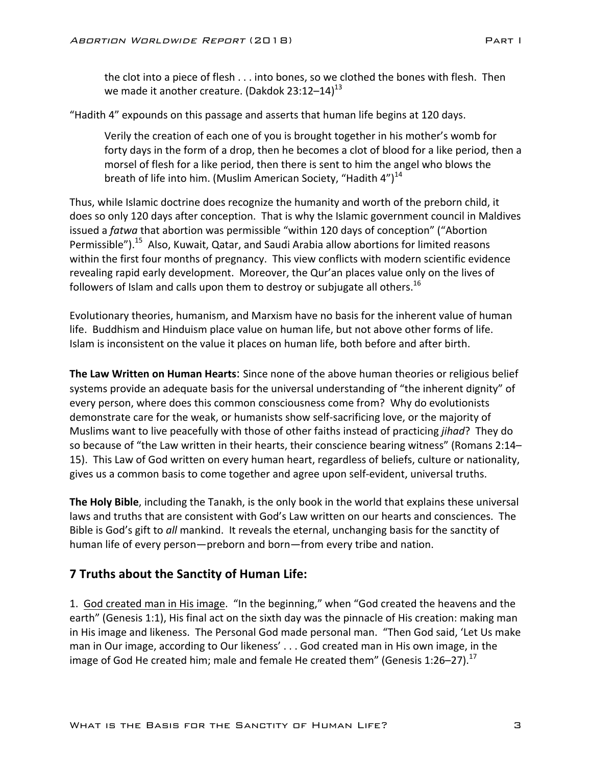the clot into a piece of flesh  $\dots$  into bones, so we clothed the bones with flesh. Then we made it another creature. (Dakdok 23:12–14) $^{13}$ 

"Hadith 4" expounds on this passage and asserts that human life begins at 120 days.

Verily the creation of each one of you is brought together in his mother's womb for forty days in the form of a drop, then he becomes a clot of blood for a like period, then a morsel of flesh for a like period, then there is sent to him the angel who blows the breath of life into him. (Muslim American Society, "Hadith  $4"$ )<sup>14</sup>

Thus, while Islamic doctrine does recognize the humanity and worth of the preborn child, it does so only 120 days after conception. That is why the Islamic government council in Maldives issued a *fatwa* that abortion was permissible "within 120 days of conception" ("Abortion Permissible").<sup>15</sup> Also, Kuwait, Qatar, and Saudi Arabia allow abortions for limited reasons within the first four months of pregnancy. This view conflicts with modern scientific evidence revealing rapid early development. Moreover, the Qur'an places value only on the lives of followers of Islam and calls upon them to destroy or subjugate all others.<sup>16</sup>

Evolutionary theories, humanism, and Marxism have no basis for the inherent value of human life. Buddhism and Hinduism place value on human life, but not above other forms of life. Islam is inconsistent on the value it places on human life, both before and after birth.

**The Law Written on Human Hearts:** Since none of the above human theories or religious belief systems provide an adequate basis for the universal understanding of "the inherent dignity" of every person, where does this common consciousness come from? Why do evolutionists demonstrate care for the weak, or humanists show self-sacrificing love, or the majority of Muslims want to live peacefully with those of other faiths instead of practicing *jihad*? They do so because of "the Law written in their hearts, their conscience bearing witness" (Romans 2:14– 15). This Law of God written on every human heart, regardless of beliefs, culture or nationality, gives us a common basis to come together and agree upon self-evident, universal truths.

**The Holy Bible**, including the Tanakh, is the only book in the world that explains these universal laws and truths that are consistent with God's Law written on our hearts and consciences. The Bible is God's gift to *all* mankind. It reveals the eternal, unchanging basis for the sanctity of human life of every person—preborn and born—from every tribe and nation.

## **7 Truths about the Sanctity of Human Life:**

1. God created man in His image. "In the beginning," when "God created the heavens and the earth" (Genesis 1:1), His final act on the sixth day was the pinnacle of His creation: making man in His image and likeness. The Personal God made personal man. "Then God said, 'Let Us make man in Our image, according to Our likeness' . . . God created man in His own image, in the image of God He created him; male and female He created them" (Genesis 1:26–27).<sup>17</sup>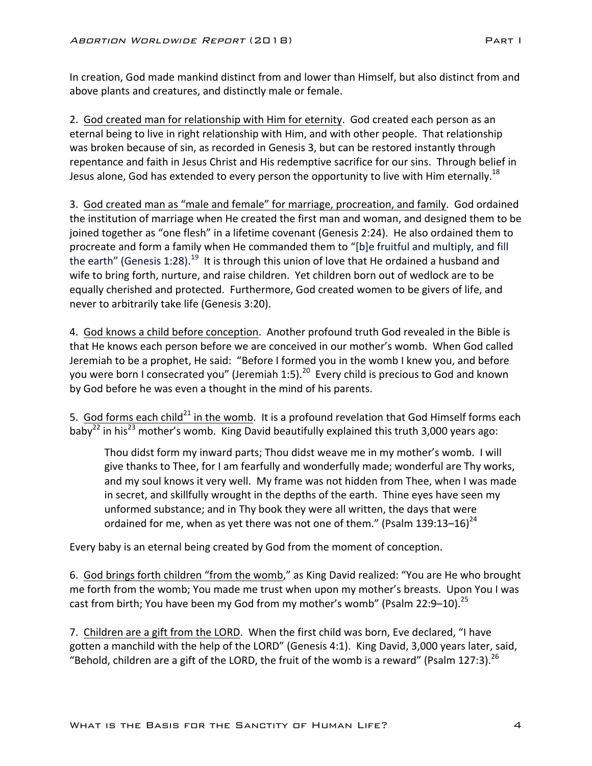In creation, God made mankind distinct from and lower than Himself, but also distinct from and above plants and creatures, and distinctly male or female.

2. God created man for relationship with Him for eternity. God created each person as an eternal being to live in right relationship with Him, and with other people. That relationship was broken because of sin, as recorded in Genesis 3, but can be restored instantly through repentance and faith in Jesus Christ and His redemptive sacrifice for our sins. Through belief in Jesus alone, God has extended to every person the opportunity to live with Him eternally.<sup>18</sup>

3. God created man as "male and female" for marriage, procreation, and family. God ordained the institution of marriage when He created the first man and woman, and designed them to be joined together as "one flesh" in a lifetime covenant (Genesis 2:24). He also ordained them to procreate and form a family when He commanded them to "[b]e fruitful and multiply, and fill the earth" (Genesis 1:28).<sup>19</sup> It is through this union of love that He ordained a husband and wife to bring forth, nurture, and raise children. Yet children born out of wedlock are to be equally cherished and protected. Furthermore, God created women to be givers of life, and never to arbitrarily take life (Genesis 3:20).

4. God knows a child before conception. Another profound truth God revealed in the Bible is that He knows each person before we are conceived in our mother's womb. When God called Jeremiah to be a prophet, He said: "Before I formed you in the womb I knew you, and before you were born I consecrated you" (Jeremiah 1:5).<sup>20</sup> Every child is precious to God and known by God before he was even a thought in the mind of his parents.

5. God forms each child<sup>21</sup> in the womb. It is a profound revelation that God Himself forms each baby<sup>22</sup> in his<sup>23</sup> mother's womb. King David beautifully explained this truth 3,000 years ago:

Thou didst form my inward parts; Thou didst weave me in my mother's womb. I will give thanks to Thee, for I am fearfully and wonderfully made; wonderful are Thy works, and my soul knows it very well. My frame was not hidden from Thee, when I was made in secret, and skillfully wrought in the depths of the earth. Thine eyes have seen my unformed substance; and in Thy book they were all written, the days that were ordained for me, when as yet there was not one of them." (Psalm 139:13–16)<sup>24</sup>

Every baby is an eternal being created by God from the moment of conception.

6. God brings forth children "from the womb," as King David realized: "You are He who brought me forth from the womb; You made me trust when upon my mother's breasts. Upon You I was cast from birth; You have been my God from my mother's womb" (Psalm 22:9–10).<sup>25</sup>

7. Children are a gift from the LORD. When the first child was born, Eve declared, "I have gotten a manchild with the help of the LORD" (Genesis 4:1). King David, 3,000 years later, said, "Behold, children are a gift of the LORD, the fruit of the womb is a reward" (Psalm 127:3).<sup>26</sup>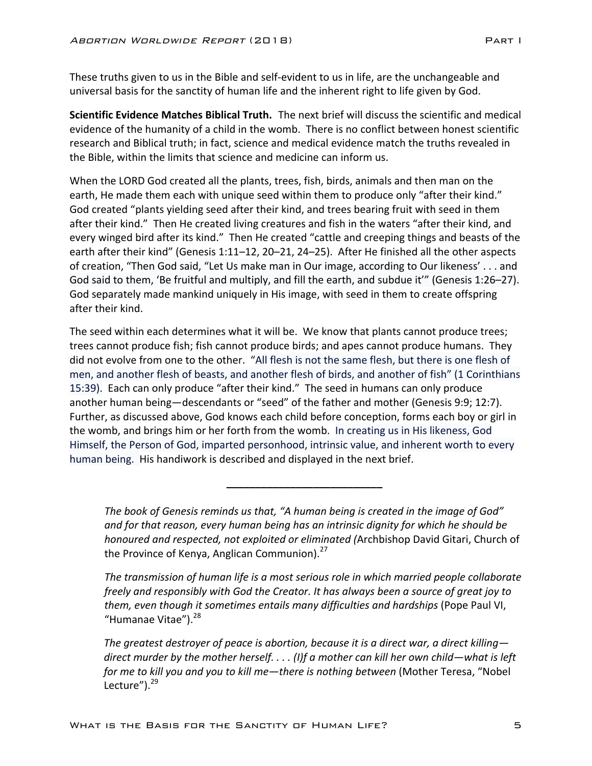These truths given to us in the Bible and self-evident to us in life, are the unchangeable and universal basis for the sanctity of human life and the inherent right to life given by God.

**Scientific Evidence Matches Biblical Truth.** The next brief will discuss the scientific and medical evidence of the humanity of a child in the womb. There is no conflict between honest scientific research and Biblical truth; in fact, science and medical evidence match the truths revealed in the Bible, within the limits that science and medicine can inform us.

When the LORD God created all the plants, trees, fish, birds, animals and then man on the earth, He made them each with unique seed within them to produce only "after their kind." God created "plants yielding seed after their kind, and trees bearing fruit with seed in them after their kind." Then He created living creatures and fish in the waters "after their kind, and every winged bird after its kind." Then He created "cattle and creeping things and beasts of the earth after their kind" (Genesis 1:11–12, 20–21, 24–25). After He finished all the other aspects of creation, "Then God said, "Let Us make man in Our image, according to Our likeness' . . . and God said to them, 'Be fruitful and multiply, and fill the earth, and subdue it'" (Genesis 1:26–27). God separately made mankind uniquely in His image, with seed in them to create offspring after their kind.

The seed within each determines what it will be. We know that plants cannot produce trees; trees cannot produce fish; fish cannot produce birds; and apes cannot produce humans. They did not evolve from one to the other. "All flesh is not the same flesh, but there is one flesh of men, and another flesh of beasts, and another flesh of birds, and another of fish" (1 Corinthians 15:39). Each can only produce "after their kind." The seed in humans can only produce another human being—descendants or "seed" of the father and mother (Genesis 9:9; 12:7). Further, as discussed above, God knows each child before conception, forms each boy or girl in the womb, and brings him or her forth from the womb. In creating us in His likeness, God Himself, the Person of God, imparted personhood, intrinsic value, and inherent worth to every human being. His handiwork is described and displayed in the next brief.

The book of Genesis reminds us that, "A human being is created in the image of God" and for that reason, every human being has an intrinsic dignity for which he should be *honoured and respected, not exploited or eliminated (Archbishop David Gitari, Church of* the Province of Kenya, Anglican Communion). $27$ 

**\_\_\_\_\_\_\_\_\_\_\_\_\_\_\_\_\_\_\_\_\_\_\_\_\_\_\_**

The transmission of human life is a most serious role in which married people collaborate *freely* and responsibly with God the Creator. It has always been a source of great joy to them, even though it sometimes entails many difficulties and hardships (Pope Paul VI, "Humanae Vitae").<sup>28</sup>

*The greatest destroyer of peace is abortion, because it is a direct war, a direct killing direct murder by the mother herself.* . . . (I)f a mother can kill her own child—what is left *for* me to kill you and you to kill me—there is nothing between (Mother Teresa, "Nobel Lecture"). $^{29}$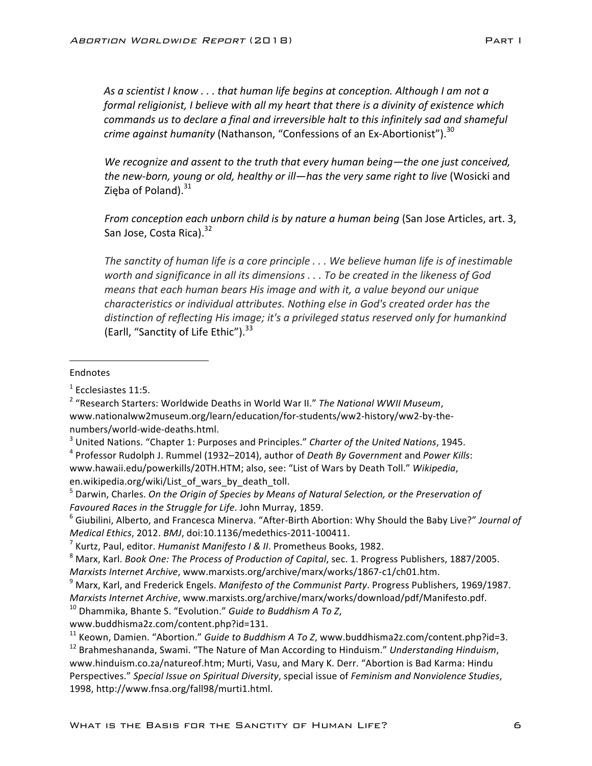As a scientist I know . . . that human life begins at conception. Although I am not a *formal religionist, I believe with all my heart that there is a divinity of existence which commands us to declare a final and irreversible halt to this infinitely sad and shameful crime against humanity* (Nathanson, "Confessions of an Ex-Abortionist").<sup>30</sup>

We recognize and assent to the truth that every human being—the one just conceived, the new-born, young or old, healthy or ill—has the very same right to live (Wosicki and Zięba of Poland). $31$ 

*From conception each unborn child is by nature a human being* (San Jose Articles, art. 3, San Jose, Costa Rica).<sup>32</sup>

The sanctity of human life is a core principle  $\ldots$  We believe human life is of inestimable worth and significance in all its dimensions . . . To be created in the likeness of God *means* that each human bears His image and with it, a value beyond our unique *characteristics or individual attributes. Nothing else in God's created order has the* distinction of reflecting His image; it's a privileged status reserved only for humankind (Earll, "Sanctity of Life Ethic"). $33$ 

## Endnotes

 

<sup>3</sup> United Nations. "Chapter 1: Purposes and Principles." *Charter of the United Nations*, 1945.

<sup>4</sup> Professor Rudolph J. Rummel (1932–2014), author of *Death By Government* and *Power Kills*: www.hawaii.edu/powerkills/20TH.HTM; also, see: "List of Wars by Death Toll." Wikipedia, en.wikipedia.org/wiki/List\_of\_wars\_by\_death\_toll.

<sup>5</sup> Darwin, Charles. On the Origin of Species by Means of Natural Selection, or the Preservation of *Favoured Races in the Struggle for Life. John Murray, 1859.* 

<sup>6</sup> Giubilini, Alberto, and Francesca Minerva. "After-Birth Abortion: Why Should the Baby Live?" Journal of *Medical Ethics.* 2012. *BMJ.* doi:10.1136/medethics-2011-100411.

<sup>8</sup> Marx, Karl. *Book One: The Process of Production of Capital*, sec. 1. Progress Publishers, 1887/2005. *Marxists Internet Archive*, www.marxists.org/archive/marx/works/1867-c1/ch01.htm.

<sup>9</sup> Marx, Karl, and Frederick Engels. *Manifesto of the Communist Party*. Progress Publishers, 1969/1987. *Marxists Internet Archive*, www.marxists.org/archive/marx/works/download/pdf/Manifesto.pdf.

 $10$  Dhammika, Bhante S. "Evolution." *Guide to Buddhism A To Z*,

www.buddhisma2z.com/content.php?id=131.

<sup>11</sup> Keown, Damien. "Abortion." *Guide to Buddhism A To Z*, www.buddhisma2z.com/content.php?id=3.

<sup>12</sup> Brahmeshananda, Swami. "The Nature of Man According to Hinduism." Understanding Hinduism, www.hinduism.co.za/natureof.htm; Murti, Vasu, and Mary K. Derr. "Abortion is Bad Karma: Hindu Perspectives." Special Issue on Spiritual Diversity, special issue of *Feminism and Nonviolence Studies*, 1998, http://www.fnsa.org/fall98/murti1.html.

<sup>1</sup> Ecclesiastes 11:5. 

<sup>&</sup>lt;sup>2</sup> "Research Starters: Worldwide Deaths in World War II." The National WWII Museum, www.nationalww2museum.org/learn/education/for-students/ww2-history/ww2-by-thenumbers/world-wide-deaths.html.

<sup>&</sup>lt;sup>7</sup> Kurtz, Paul, editor. *Humanist Manifesto I & II*. Prometheus Books, 1982.